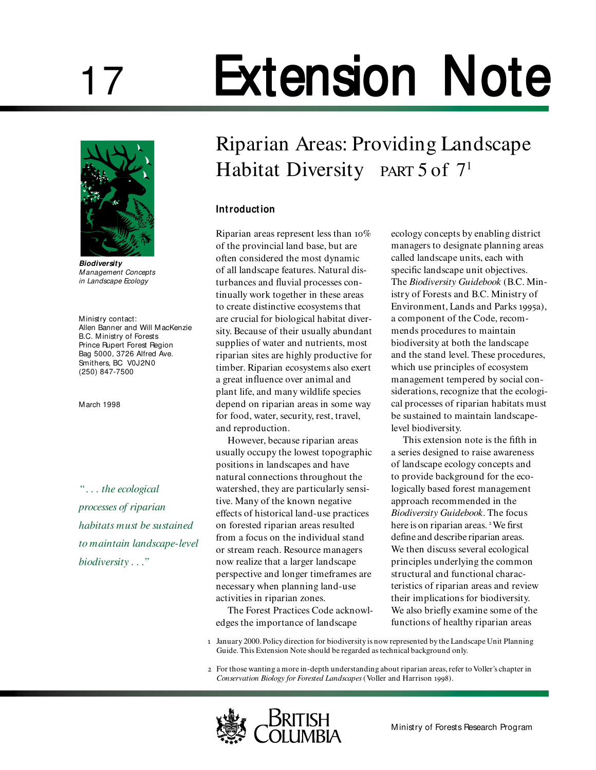# 17 Extension Note



**Biodiversity** *Management Concepts in Landscape Ecology*

Ministry contact: Allen Banner and Will MacKenzie B.C. Ministry of Forests Prince Rupert Forest Region Bag 5000, 3726 Alfred Ave. Smithers, BC V0J2N0 (250) 847-7500

March 1998

*" . . . the ecological processes of riparian habitats must be sustained to maintain landscape-level biodiversity . . ."*

# Riparian Areas: Providing Landscape Habitat Diversity PART 5 of 7<sup>1</sup>

## **Introduction**

Riparian areas represent less than  $10\%$ of the provincial land base, but are often considered the most dynamic of all landscape features. Natural disturbances and fluvial processes continually work together in these areas to create distinctive ecosystems that are crucial for biological habitat diversity. Because of their usually abundant supplies of water and nutrients, most riparian sites are highly productive for timber. Riparian ecosystems also exert a great influence over animal and plant life, and many wildlife species depend on riparian areas in some way for food, water, security, rest, travel, and reproduction.

However, because riparian areas usually occupy the lowest topographic positions in landscapes and have natural connections throughout the watershed, they are particularly sensitive. Many of the known negative effects of historical land-use practices on forested riparian areas resulted from a focus on the individual stand or stream reach. Resource managers now realize that a larger landscape perspective and longer timeframes are necessary when planning land-use activities in riparian zones.

The Forest Practices Code acknowledges the importance of landscape

ecology concepts by enabling district managers to designate planning areas called landscape units, each with specific landscape unit objectives. The *Biodiversity Guidebook* (B.C. Ministry of Forests and B.C. Ministry of Environment, Lands and Parks 1995a), a component of the Code, recommends procedures to maintain biodiversity at both the landscape and the stand level. These procedures, which use principles of ecosystem management tempered by social considerations, recognize that the ecological processes of riparian habitats must be sustained to maintain landscapelevel biodiversity.

This extension note is the fifth in a series designed to raise awareness of landscape ecology concepts and to provide background for the ecologically based forest management approach recommended in the *Biodiversity Guidebook*. The focus here is on riparian areas.<sup>2</sup> We first define and describe riparian areas. We then discuss several ecological principles underlying the common structural and functional characteristics of riparian areas and review their implications for biodiversity. We also briefly examine some of the functions of healthy riparian areas

- January 2000. Policy direction for biodiversity is now represented by the Landscape Unit Planning Guide. This Extension Note should be regarded as technical background only.
- For those wanting a more in-depth understanding about riparian areas, refer to Voller's chapter in *Conservation Biology for Forested Landscapes* (Voller and Harrison 1998).

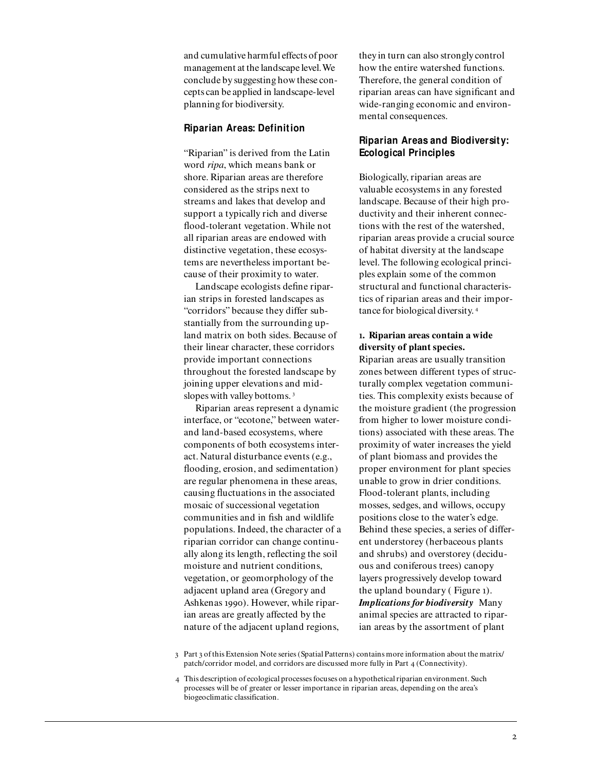and cumulative harmful effects of poor management at the landscape level. We conclude by suggesting how these concepts can be applied in landscape-level planning for biodiversity.

#### **Riparian Areas: Definition**

"Riparian" is derived from the Latin word *ripa*, which means bank or shore. Riparian areas are therefore considered as the strips next to streams and lakes that develop and support a typically rich and diverse flood-tolerant vegetation. While not all riparian areas are endowed with distinctive vegetation, these ecosystems are nevertheless important because of their proximity to water.

Landscape ecologists define riparian strips in forested landscapes as "corridors" because they differ substantially from the surrounding upland matrix on both sides. Because of their linear character, these corridors provide important connections throughout the forested landscape by joining upper elevations and midslopes with valley bottoms.<sup>3</sup>

Riparian areas represent a dynamic interface, or "ecotone," between waterand land-based ecosystems, where components of both ecosystems interact. Natural disturbance events (e.g., flooding, erosion, and sedimentation) are regular phenomena in these areas, causing fluctuations in the associated mosaic of successional vegetation communities and in fish and wildlife populations. Indeed, the character of a riparian corridor can change continually along its length, reflecting the soil moisture and nutrient conditions, vegetation, or geomorphology of the adjacent upland area (Gregory and Ashkenas 1990). However, while riparian areas are greatly affected by the nature of the adjacent upland regions,

they in turn can also strongly control how the entire watershed functions. Therefore, the general condition of riparian areas can have significant and wide-ranging economic and environmental consequences.

# **Riparian Areas and Biodiversity: Ecological Principles**

Biologically, riparian areas are valuable ecosystems in any forested landscape. Because of their high productivity and their inherent connections with the rest of the watershed, riparian areas provide a crucial source of habitat diversity at the landscape level. The following ecological principles explain some of the common structural and functional characteristics of riparian areas and their importance for biological diversity.

#### **. Riparian areas contain a wide diversity of plant species.**

Riparian areas are usually transition zones between different types of structurally complex vegetation communities. This complexity exists because of the moisture gradient (the progression from higher to lower moisture conditions) associated with these areas. The proximity of water increases the yield of plant biomass and provides the proper environment for plant species unable to grow in drier conditions. Flood-tolerant plants, including mosses, sedges, and willows, occupy positions close to the water's edge. Behind these species, a series of different understorey (herbaceous plants and shrubs) and overstorey (deciduous and coniferous trees) canopy layers progressively develop toward the upland boundary ( Figure ). *Implications for biodiversity* Many animal species are attracted to riparian areas by the assortment of plant

3 Part 3 of this Extension Note series (Spatial Patterns) contains more information about the matrix/ patch/corridor model, and corridors are discussed more fully in Part 4 (Connectivity).

This description of ecological processes focuses on a hypothetical riparian environment. Such processes will be of greater or lesser importance in riparian areas, depending on the area's biogeoclimatic classification.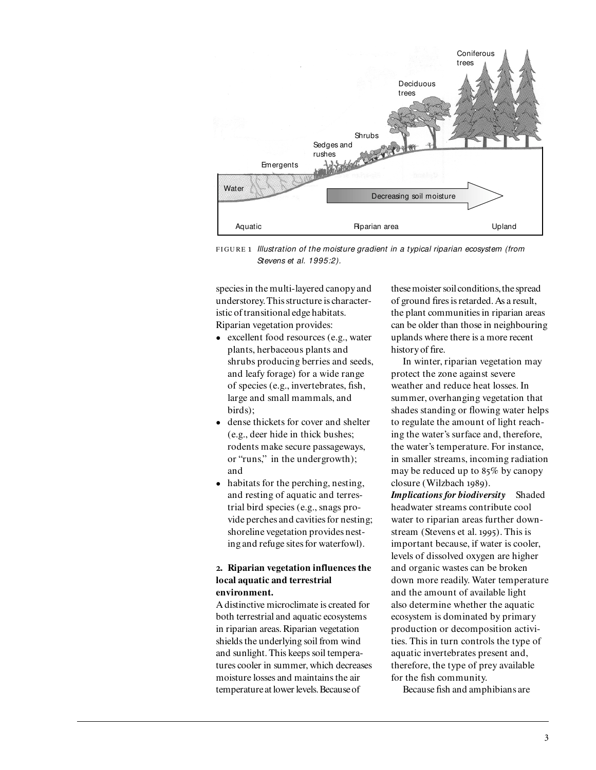

F I GU RE *Illustration of the moisture gradient in a typical riparian ecosystem (from Stevens et al. 1995:2).*

species in the multi-layered canopy and understorey. This structure is characteristic of transitional edge habitats. Riparian vegetation provides:

- excellent food resources (e.g., water plants, herbaceous plants and shrubs producing berries and seeds, and leafy forage) for a wide range of species (e.g., invertebrates, fish, large and small mammals, and birds);
- dense thickets for cover and shelter (e.g., deer hide in thick bushes; rodents make secure passageways, or "runs," in the undergrowth); and
- habitats for the perching, nesting, and resting of aquatic and terrestrial bird species (e.g., snags provide perches and cavities for nesting; shoreline vegetation provides nesting and refuge sites for waterfowl).

#### **. Riparian vegetation influences the local aquatic and terrestrial environment.**

A distinctive microclimate is created for both terrestrial and aquatic ecosystems in riparian areas. Riparian vegetation shields the underlying soil from wind and sunlight. This keeps soil temperatures cooler in summer, which decreases moisture losses and maintains the air temperature at lower levels. Because of

these moister soil conditions, the spread of ground fires is retarded. As a result, the plant communities in riparian areas can be older than those in neighbouring uplands where there is a more recent history of fire.

In winter, riparian vegetation may protect the zone against severe weather and reduce heat losses. In summer, overhanging vegetation that shades standing or flowing water helps to regulate the amount of light reaching the water's surface and, therefore, the water's temperature. For instance, in smaller streams, incoming radiation may be reduced up to  $85\%$  by canopy closure (Wilzbach 1989).

*Implications for biodiversity* Shaded headwater streams contribute cool water to riparian areas further downstream (Stevens et al. 1995). This is important because, if water is cooler, levels of dissolved oxygen are higher and organic wastes can be broken down more readily. Water temperature and the amount of available light also determine whether the aquatic ecosystem is dominated by primary production or decomposition activities. This in turn controls the type of aquatic invertebrates present and, therefore, the type of prey available for the fish community.

Because fish and amphibians are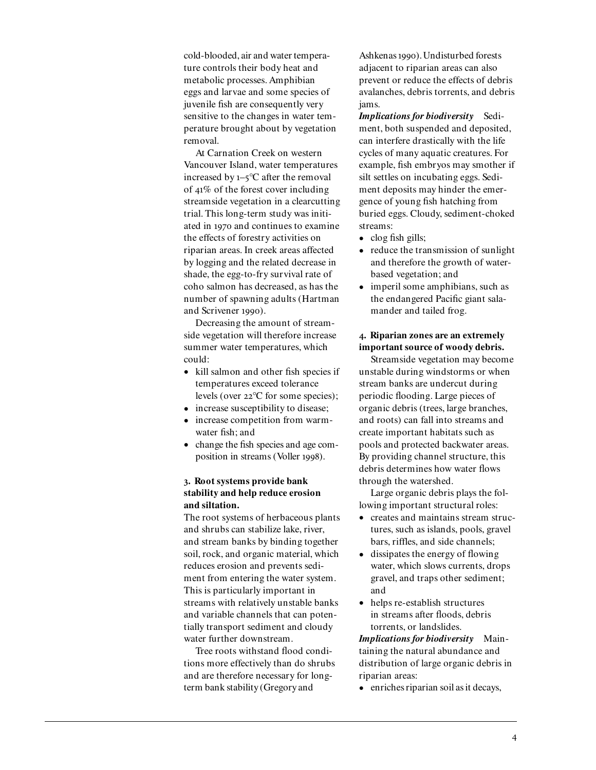cold-blooded, air and water temperature controls their body heat and metabolic processes. Amphibian eggs and larvae and some species of juvenile fish are consequently very sensitive to the changes in water temperature brought about by vegetation removal.

At Carnation Creek on western Vancouver Island, water temperatures increased by  $1-5$ °C after the removal of  $41\%$  of the forest cover including streamside vegetation in a clearcutting trial. This long-term study was initiated in 1970 and continues to examine the effects of forestry activities on riparian areas. In creek areas affected by logging and the related decrease in shade, the egg-to-fry survival rate of coho salmon has decreased, as has the number of spawning adults (Hartman and Scrivener 1990).

Decreasing the amount of streamside vegetation will therefore increase summer water temperatures, which could:

- kill salmon and other fish species if temperatures exceed tolerance levels (over  $22^{\circ}$ C for some species);
- increase susceptibility to disease;
- increase competition from warmwater fish; and
- change the fish species and age composition in streams (Voller 1998).

#### **. Root systems provide bank stability and help reduce erosion and siltation.**

The root systems of herbaceous plants and shrubs can stabilize lake, river, and stream banks by binding together soil, rock, and organic material, which reduces erosion and prevents sediment from entering the water system. This is particularly important in streams with relatively unstable banks and variable channels that can potentially transport sediment and cloudy water further downstream.

Tree roots withstand flood conditions more effectively than do shrubs and are therefore necessary for longterm bank stability (Gregory and

Ashkenas 1990). Undisturbed forests adjacent to riparian areas can also prevent or reduce the effects of debris avalanches, debris torrents, and debris jams.

*Implications for biodiversity* Sediment, both suspended and deposited, can interfere drastically with the life cycles of many aquatic creatures. For example, fish embryos may smother if silt settles on incubating eggs. Sediment deposits may hinder the emergence of young fish hatching from buried eggs. Cloudy, sediment-choked streams:

- clog fish gills;
- reduce the transmission of sunlight and therefore the growth of waterbased vegetation; and
- imperil some amphibians, such as the endangered Pacific giant salamander and tailed frog.

#### **. Riparian zones are an extremely important source of woody debris.**

Streamside vegetation may become unstable during windstorms or when stream banks are undercut during periodic flooding. Large pieces of organic debris (trees, large branches, and roots) can fall into streams and create important habitats such as pools and protected backwater areas. By providing channel structure, this debris determines how water flows through the watershed.

Large organic debris plays the following important structural roles:

- creates and maintains stream structures, such as islands, pools, gravel bars, riffles, and side channels;
- dissipates the energy of flowing water, which slows currents, drops gravel, and traps other sediment; and
- helps re-establish structures in streams after floods, debris torrents, or landslides.

*Implications for biodiversity* Maintaining the natural abundance and distribution of large organic debris in riparian areas:

• enriches riparian soil as it decays,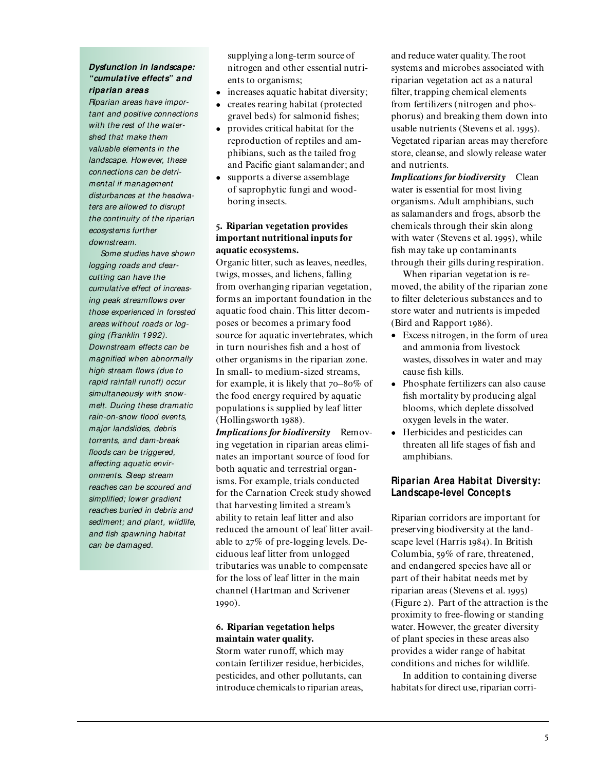#### **Dysfunction in landscape: "cumulative effects" and riparian areas**

*Riparian areas have important and positive connections with the rest of the watershed that make them valuable elements in the landscape. However, these connections can be detrimental if management disturbances at the headwaters are allowed to disrupt the continuity of the riparian ecosystems further downstream.*

*Some studies have shown logging roads and clearcutting can have the cumulative effect of increasing peak streamflows over those experienced in forested areas without roads or logging (Franklin 1992). Downstream effects can be magnified when abnormally high stream flows (due to rapid rainfall runoff) occur simultaneously with snowmelt. During these dramatic rain-on-snow flood events, major landslides, debris torrents, and dam-break floods can be triggered, affecting aquatic environments. Steep stream reaches can be scoured and simplified; lower gradient reaches buried in debris and sediment; and plant, wildlife, and fish spawning habitat can be damaged.*

supplying a long-term source of nitrogen and other essential nutrients to organisms;

- increases aquatic habitat diversity;
- creates rearing habitat (protected gravel beds) for salmonid fishes;
- provides critical habitat for the reproduction of reptiles and amphibians, such as the tailed frog and Pacific giant salamander; and
- supports a diverse assemblage of saprophytic fungi and woodboring insects.

## **. Riparian vegetation provides important nutritional inputs for aquatic ecosystems.**

Organic litter, such as leaves, needles, twigs, mosses, and lichens, falling from overhanging riparian vegetation, forms an important foundation in the aquatic food chain. This litter decomposes or becomes a primary food source for aquatic invertebrates, which in turn nourishes fish and a host of other organisms in the riparian zone. In small- to medium-sized streams, for example, it is likely that  $70-80\%$  of the food energy required by aquatic populations is supplied by leaf litter (Hollingsworth 1988).

*Implications for biodiversity* Removing vegetation in riparian areas eliminates an important source of food for both aquatic and terrestrial organisms. For example, trials conducted for the Carnation Creek study showed that harvesting limited a stream's ability to retain leaf litter and also reduced the amount of leaf litter available to  $27\%$  of pre-logging levels. Deciduous leaf litter from unlogged tributaries was unable to compensate for the loss of leaf litter in the main channel (Hartman and Scrivener 1990).

# **. Riparian vegetation helps maintain water quality.**

Storm water runoff, which may contain fertilizer residue, herbicides, pesticides, and other pollutants, can introduce chemicals to riparian areas,

and reduce water quality. The root systems and microbes associated with riparian vegetation act as a natural filter, trapping chemical elements from fertilizers (nitrogen and phosphorus) and breaking them down into usable nutrients (Stevens et al. 1995). Vegetated riparian areas may therefore store, cleanse, and slowly release water and nutrients.

*Implications for biodiversity* Clean water is essential for most living organisms. Adult amphibians, such as salamanders and frogs, absorb the chemicals through their skin along with water (Stevens et al. 1995), while fish may take up contaminants through their gills during respiration.

When riparian vegetation is removed, the ability of the riparian zone to filter deleterious substances and to store water and nutrients is impeded (Bird and Rapport 1986).

- Excess nitrogen, in the form of urea and ammonia from livestock wastes, dissolves in water and may cause fish kills.
- Phosphate fertilizers can also cause fish mortality by producing algal blooms, which deplete dissolved oxygen levels in the water.
- Herbicides and pesticides can threaten all life stages of fish and amphibians.

# **Riparian Area Habitat Diversity: Landscape-level Concepts**

Riparian corridors are important for preserving biodiversity at the landscape level (Harris 1984). In British Columbia,  $59\%$  of rare, threatened, and endangered species have all or part of their habitat needs met by riparian areas (Stevens et al. 1995) (Figure ). Part of the attraction is the proximity to free-flowing or standing water. However, the greater diversity of plant species in these areas also provides a wider range of habitat conditions and niches for wildlife.

In addition to containing diverse habitats for direct use, riparian corri-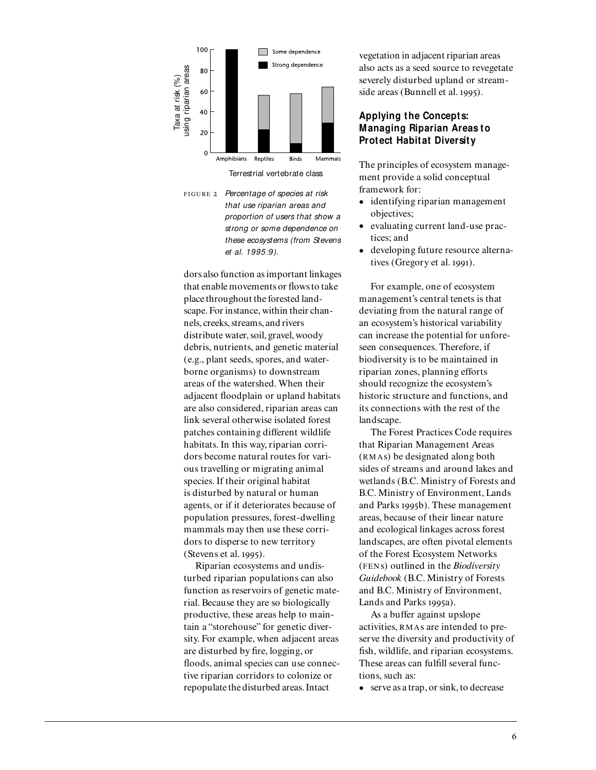

Terrestrial vertebrate class

F I GU RE *Percentage of species at risk that use riparian areas and proportion of users that show a strong or some dependence on these ecosystems (from Stevens et al. 1995:9).*

dors also function as important linkages that enable movements or flows to take place throughout the forested landscape. For instance, within their channels, creeks, streams, and rivers distribute water, soil, gravel, woody debris, nutrients, and genetic material (e.g., plant seeds, spores, and waterborne organisms) to downstream areas of the watershed. When their adjacent floodplain or upland habitats are also considered, riparian areas can link several otherwise isolated forest patches containing different wildlife habitats. In this way, riparian corridors become natural routes for various travelling or migrating animal species. If their original habitat is disturbed by natural or human agents, or if it deteriorates because of population pressures, forest-dwelling mammals may then use these corridors to disperse to new territory  $(Stevens et al. 1995).$ 

Riparian ecosystems and undisturbed riparian populations can also function as reservoirs of genetic material. Because they are so biologically productive, these areas help to maintain a "storehouse" for genetic diversity. For example, when adjacent areas are disturbed by fire, logging, or floods, animal species can use connective riparian corridors to colonize or repopulate the disturbed areas. Intact

vegetation in adjacent riparian areas also acts as a seed source to revegetate severely disturbed upland or streamside areas (Bunnell et al. 1995).

#### **Applying the Concepts: Managing Riparian Areas to Protect Habitat Diversity**

The principles of ecosystem management provide a solid conceptual framework for:

- identifying riparian management objectives;
- evaluating current land-use practices; and
- developing future resource alternatives (Gregory et al. 1991).

For example, one of ecosystem management's central tenets is that deviating from the natural range of an ecosystem's historical variability can increase the potential for unforeseen consequences. Therefore, if biodiversity is to be maintained in riparian zones, planning efforts should recognize the ecosystem's historic structure and functions, and its connections with the rest of the landscape.

The Forest Practices Code requires that Riparian Management Areas (RM As) be designated along both sides of streams and around lakes and wetlands (B.C. Ministry of Forests and B.C. Ministry of Environment, Lands and Parks 1995b). These management areas, because of their linear nature and ecological linkages across forest landscapes, are often pivotal elements of the Forest Ecosystem Networks (FEN s) outlined in the *Biodiversity Guidebook* (B.C. Ministry of Forests and B.C. Ministry of Environment, Lands and Parks 1995a).

As a buffer against upslope activities, R M As are intended to preserve the diversity and productivity of fish, wildlife, and riparian ecosystems. These areas can fulfill several functions, such as:

• serve as a trap, or sink, to decrease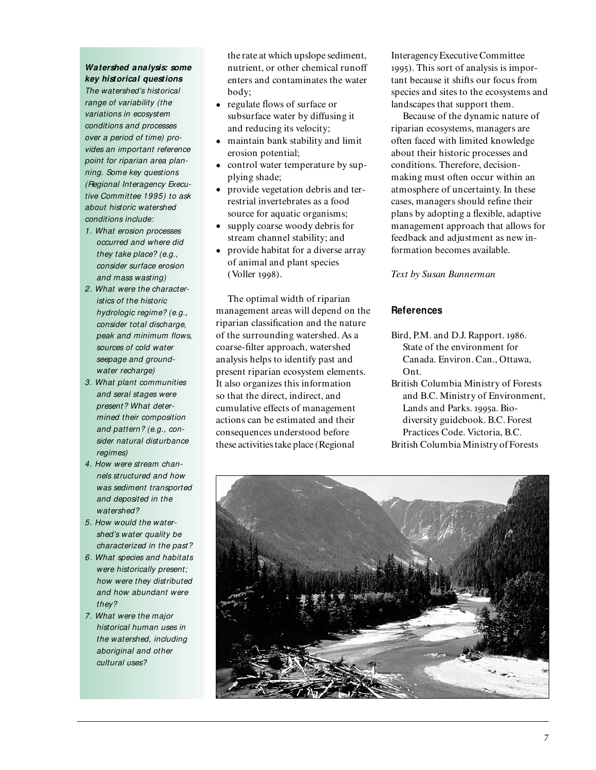# **Watershed analysis: some key historical questions**

*The watershed's historical range of variability (the variations in ecosystem conditions and processes over a period of time) provides an important reference point for riparian area planning. Some key questions (Regional Interagency Executive Committee 1995) to ask about historic watershed conditions include:*

- *1. What erosion processes occurred and where did they take place? (e.g., consider surface erosion and mass wasting)*
- *2. What were the characteristics of the historic hydrologic regime? (e.g., consider total discharge, peak and minimum flows, sources of cold water seepage and groundwater recharge)*
- *3. What plant communities and seral stages were present? What determined their composition and pattern? (e.g., consider natural disturbance regimes)*
- *4. How were stream channels structured and how was sediment transported and deposited in the watershed?*
- *5. How would the watershed's water quality be characterized in the past?*
- *6. What species and habitats were historically present; how were they distributed and how abundant were they?*
- *7. What were the major historical human uses in the watershed, including aboriginal and other cultural uses?*

the rate at which upslope sediment, nutrient, or other chemical runoff enters and contaminates the water body;

- regulate flows of surface or subsurface water by diffusing it and reducing its velocity;
- maintain bank stability and limit erosion potential;
- control water temperature by supplying shade;
- provide vegetation debris and terrestrial invertebrates as a food source for aquatic organisms;
- supply coarse woody debris for stream channel stability; and
- provide habitat for a diverse array of animal and plant species (Voller 1998).

The optimal width of riparian management areas will depend on the riparian classification and the nature of the surrounding watershed. As a coarse-filter approach, watershed analysis helps to identify past and present riparian ecosystem elements. It also organizes this information so that the direct, indirect, and cumulative effects of management actions can be estimated and their consequences understood before these activities take place (Regional

Interagency Executive Committee ). This sort of analysis is important because it shifts our focus from species and sites to the ecosystems and landscapes that support them.

Because of the dynamic nature of riparian ecosystems, managers are often faced with limited knowledge about their historic processes and conditions. Therefore, decisionmaking must often occur within an atmosphere of uncertainty. In these cases, managers should refine their plans by adopting a flexible, adaptive management approach that allows for feedback and adjustment as new information becomes available.

*Text by Susan Bannerman*

#### **References**

- Bird, P.M. and D.J. Rapport. 1986. State of the environment for Canada. Environ. Can., Ottawa, Ont.
- British Columbia Ministry of Forests and B.C. Ministry of Environment, Lands and Parks. 1995a. Biodiversity guidebook. B.C. Forest Practices Code. Victoria, B.C. British Columbia Ministry of Forests